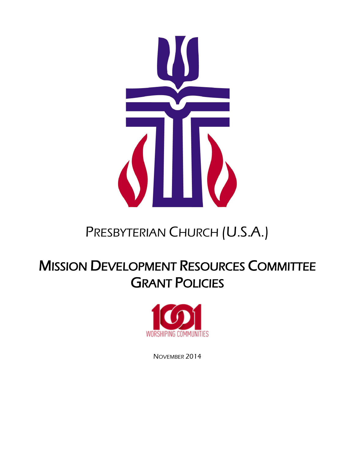

# PRESBYTERIAN CHURCH (U.S.A.)

# **MISSION DEVELOPMENT RESOURCES COMMITTEE GRANT POLICIES**



NOVEMBER 2014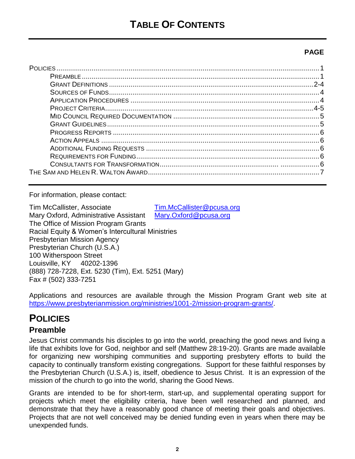### **PAGF**

| $2 - 4$ |
|---------|
|         |
|         |
| $4-5$   |
|         |
|         |
|         |
|         |
|         |
|         |
|         |
|         |

For information, please contact:

| Tim McCallister, Associate                        | Tim.McCallister@pcusa.org |
|---------------------------------------------------|---------------------------|
| Mary Oxford, Administrative Assistant             | Mary.Oxford@pcusa.org     |
| The Office of Mission Program Grants              |                           |
| Racial Equity & Women's Intercultural Ministries  |                           |
| <b>Presbyterian Mission Agency</b>                |                           |
| Presbyterian Church (U.S.A.)                      |                           |
| 100 Witherspoon Street                            |                           |
| Louisville, KY 40202-1396                         |                           |
| (888) 728-7228, Ext. 5230 (Tim), Ext. 5251 (Mary) |                           |
| Fax # (502) 333-7251                              |                           |

Applications and resources are available through the Mission Program Grant web site at https://www.presbyterianmission.org/ministries/1001-2/mission-program-grants/

## **POLICIES**

## **Preamble**

Jesus Christ commands his disciples to go into the world, preaching the good news and living a life that exhibits love for God, neighbor and self (Matthew 28:19-20). Grants are made available for organizing new worshiping communities and supporting presbytery efforts to build the capacity to continually transform existing congregations. Support for these faithful responses by the Presbyterian Church (U.S.A.) is, itself, obedience to Jesus Christ. It is an expression of the mission of the church to go into the world, sharing the Good News.

Grants are intended to be for short-term, start-up, and supplemental operating support for projects which meet the eligibility criteria, have been well researched and planned, and demonstrate that they have a reasonably good chance of meeting their goals and objectives. Projects that are not well conceived may be denied funding even in years when there may be unexpended funds.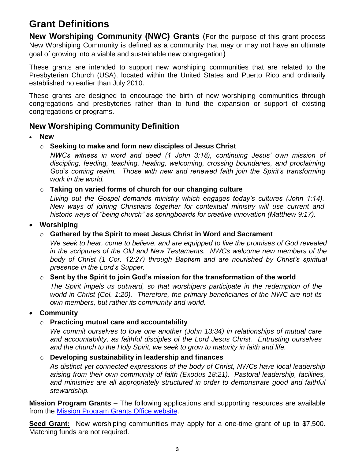## **Grant Definitions**

**New Worshiping Community (NWC) Grants** (For the purpose of this grant process New Worshiping Community is defined as a community that may or may not have an ultimate goal of growing into a viable and sustainable new congregation).

These grants are intended to support new worshiping communities that are related to the Presbyterian Church (USA), located within the United States and Puerto Rico and ordinarily established no earlier than July 2010.

These grants are designed to encourage the birth of new worshiping communities through congregations and presbyteries rather than to fund the expansion or support of existing congregations or programs.

#### **New Worshiping Community Definition**

- **New**
	- o **Seeking to make and form new disciples of Jesus Christ**

*NWCs witness in word and deed (1 John 3:18), continuing Jesus' own mission of discipling, feeding, teaching, healing, welcoming, crossing boundaries, and proclaiming God's coming realm. Those with new and renewed faith join the Spirit's transforming work in the world.*

#### o **Taking on varied forms of church for our changing culture**

*Living out the Gospel demands ministry which engages today's cultures (John 1:14). New ways of joining Christians together for contextual ministry will use current and historic ways of "being church" as springboards for creative innovation (Matthew 9:17).*

#### • **Worshiping**

o **Gathered by the Spirit to meet Jesus Christ in Word and Sacrament** 

*We seek to hear, come to believe, and are equipped to live the promises of God revealed in the scriptures of the Old and New Testaments. NWCs welcome new members of the body of Christ (1 Cor. 12:27) through Baptism and are nourished by Christ's spiritual presence in the Lord's Supper.* 

#### o **Sent by the Spirit to join God's mission for the transformation of the world**

*The Spirit impels us outward, so that worshipers participate in the redemption of the world in Christ (Col. 1:20). Therefore, the primary beneficiaries of the NWC are not its own members, but rather its community and world.* 

#### • **Community**

#### o **Practicing mutual care and accountability**

*We commit ourselves to love one another (John 13:34) in relationships of mutual care and accountability, as faithful disciples of the Lord Jesus Christ. Entrusting ourselves and the church to the Holy Spirit, we seek to grow to maturity in faith and life.* 

#### o **Developing sustainability in leadership and finances**

*As distinct yet connected expressions of the body of Christ, NWCs have local leadership arising from their own community of faith (Exodus 18:21). Pastoral leadership, facilities, and ministries are all appropriately structured in order to demonstrate good and faithful stewardship.*

**Mission Program Grants** – The following applications and supporting resources are available from the [Mission Program Grants Office website.](https://www.presbyterianmission.org/ministries/1001-2/mission-program-grants/)

**Seed Grant:** New worshiping communities may apply for a one-time grant of up to \$7,500. Matching funds are not required.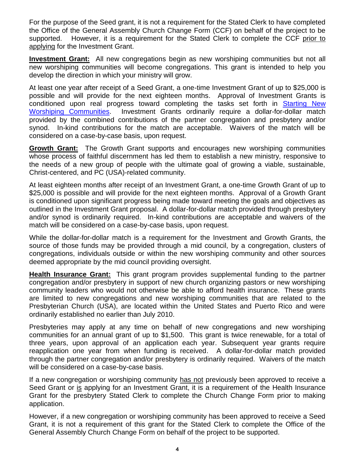For the purpose of the Seed grant, it is not a requirement for the Stated Clerk to have completed the Office of the General Assembly Church Change Form (CCF) on behalf of the project to be supported. However, it is a requirement for the Stated Clerk to complete the CCF prior to applying for the Investment Grant.

**Investment Grant:** All new congregations begin as new worshiping communities but not all new worshiping communities will become congregations. This grant is intended to help you develop the direction in which your ministry will grow.

At least one year after receipt of a Seed Grant, a one-time Investment Grant of up to \$25,000 is possible and will provide for the next eighteen months. Approval of Investment Grants is conditioned upon real progress toward completing the tasks set forth in **Starting New** [Worshiping Communities.](https://www.presbyterianmission.org/ministries/1001-2/mission-program-grants/grant-writing-materials/) Investment Grants ordinarily require a dollar-for-dollar match provided by the combined contributions of the partner congregation and presbytery and/or synod. In-kind contributions for the match are acceptable. Waivers of the match will be considered on a case-by-case basis, upon request.

**Growth Grant:** The Growth Grant supports and encourages new worshiping communities whose process of faithful discernment has led them to establish a new ministry, responsive to the needs of a new group of people with the ultimate goal of growing a viable, sustainable, Christ-centered, and PC (USA)-related community.

At least eighteen months after receipt of an Investment Grant, a one-time Growth Grant of up to \$25,000 is possible and will provide for the next eighteen months. Approval of a Growth Grant is conditioned upon significant progress being made toward meeting the goals and objectives as outlined in the Investment Grant proposal. A dollar-for-dollar match provided through presbytery and/or synod is ordinarily required. In-kind contributions are acceptable and waivers of the match will be considered on a case-by-case basis, upon request.

While the dollar-for-dollar match is a requirement for the Investment and Growth Grants, the source of those funds may be provided through a mid council, by a congregation, clusters of congregations, individuals outside or within the new worshiping community and other sources deemed appropriate by the mid council providing oversight.

**Health Insurance Grant:** This grant program provides supplemental funding to the partner congregation and/or presbytery in support of new church organizing pastors or new worshiping community leaders who would not otherwise be able to afford health insurance. These grants are limited to new congregations and new worshiping communities that are related to the Presbyterian Church (USA), are located within the United States and Puerto Rico and were ordinarily established no earlier than July 2010.

Presbyteries may apply at any time on behalf of new congregations and new worshiping communities for an annual grant of up to \$1,500. This grant is twice renewable, for a total of three years, upon approval of an application each year. Subsequent year grants require reapplication one year from when funding is received. A dollar-for-dollar match provided through the partner congregation and/or presbytery is ordinarily required. Waivers of the match will be considered on a case-by-case basis.

If a new congregation or worshiping community has not previously been approved to receive a Seed Grant or is applying for an Investment Grant, it is a requirement of the Health Insurance Grant for the presbytery Stated Clerk to complete the Church Change Form prior to making application.

However, if a new congregation or worshiping community has been approved to receive a Seed Grant, it is not a requirement of this grant for the Stated Clerk to complete the Office of the General Assembly Church Change Form on behalf of the project to be supported.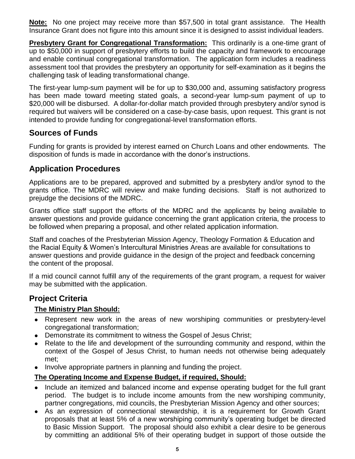**Note:** No one project may receive more than \$57,500 in total grant assistance. The Health Insurance Grant does not figure into this amount since it is designed to assist individual leaders.

**Presbytery Grant for Congregational Transformation:** This ordinarily is a one-time grant of up to \$50,000 in support of presbytery efforts to build the capacity and framework to encourage and enable continual congregational transformation. The application form includes a readiness assessment tool that provides the presbytery an opportunity for self-examination as it begins the challenging task of leading transformational change.

The first-year lump-sum payment will be for up to \$30,000 and, assuming satisfactory progress has been made toward meeting stated goals, a second-year lump-sum payment of up to \$20,000 will be disbursed. A dollar-for-dollar match provided through presbytery and/or synod is required but waivers will be considered on a case-by-case basis, upon request. This grant is not intended to provide funding for congregational-level transformation efforts.

## **Sources of Funds**

Funding for grants is provided by interest earned on Church Loans and other endowments. The disposition of funds is made in accordance with the donor's instructions.

## **Application Procedures**

Applications are to be prepared, approved and submitted by a presbytery and/or synod to the grants office. The MDRC will review and make funding decisions. Staff is not authorized to prejudge the decisions of the MDRC.

Grants office staff support the efforts of the MDRC and the applicants by being available to answer questions and provide guidance concerning the grant application criteria, the process to be followed when preparing a proposal, and other related application information.

Staff and coaches of the Presbyterian Mission Agency, Theology Formation & Education and the Racial Equity & Women's Intercultural Ministries Areas are available for consultations to answer questions and provide guidance in the design of the project and feedback concerning the content of the proposal.

If a mid council cannot fulfill any of the requirements of the grant program, a request for waiver may be submitted with the application.

#### **Project Criteria**

#### **The Ministry Plan Should:**

- Represent new work in the areas of new worshiping communities or presbytery-level congregational transformation;
- Demonstrate its commitment to witness the Gospel of Jesus Christ;
- Relate to the life and development of the surrounding community and respond, within the context of the Gospel of Jesus Christ, to human needs not otherwise being adequately met;
- Involve appropriate partners in planning and funding the project.

#### **The Operating Income and Expense Budget, if required, Should:**

- Include an itemized and balanced income and expense operating budget for the full grant period. The budget is to include income amounts from the new worshiping community, partner congregations, mid councils, the Presbyterian Mission Agency and other sources;
- As an expression of connectional stewardship, it is a requirement for Growth Grant proposals that at least 5% of a new worshiping community's operating budget be directed to Basic Mission Support. The proposal should also exhibit a clear desire to be generous by committing an additional 5% of their operating budget in support of those outside the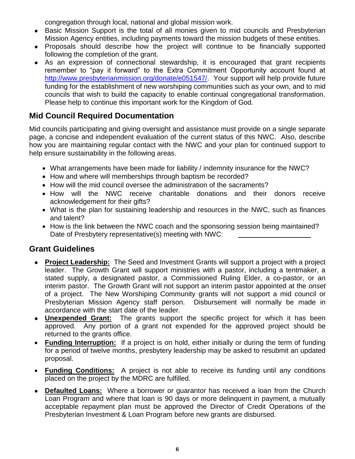congregation through local, national and global mission work.

- Basic Mission Support is the total of all monies given to mid councils and Presbyterian Mission Agency entities, including payments toward the mission budgets of these entities.
- Proposals should describe how the project will continue to be financially supported following the completion of the grant.
- As an expression of connectional stewardship, it is encouraged that grant recipients remember to "pay it forward" to the Extra Commitment Opportunity account found at [http://www.presbyterianmission.org/donate/e051547/.](http://www.presbyterianmission.org/donate/e051547/) Your support will help provide future funding for the establishment of new worshiping communities such as your own, and to mid councils that wish to build the capacity to enable continual congregational transformation. Please help to continue this important work for the Kingdom of God*.*

## **Mid Council Required Documentation**

Mid councils participating and giving oversight and assistance must provide on a single separate page, a concise and independent evaluation of the current status of this NWC. Also, describe how you are maintaining regular contact with the NWC and your plan for continued support to help ensure sustainability in the following areas.

- What arrangements have been made for liability / indemnity insurance for the NWC?
- How and where will memberships through baptism be recorded?
- How will the mid council oversee the administration of the sacraments?
- How will the NWC receive charitable donations and their donors receive acknowledgement for their gifts?
- What is the plan for sustaining leadership and resources in the NWC, such as finances and talent?
- How is the link between the NWC coach and the sponsoring session being maintained? Date of Presbytery representative(s) meeting with NWC:

#### **Grant Guidelines**

- **Project Leadership:** The Seed and Investment Grants will support a project with a project leader. The Growth Grant will support ministries with a pastor, including a tentmaker, a stated supply, a designated pastor, a Commissioned Ruling Elder, a co-pastor, or an interim pastor. The Growth Grant will not support an interim pastor appointed at the *onset* of a project. The New Worshiping Community grants will not support a mid council or Presbyterian Mission Agency staff person. Disbursement will normally be made in accordance with the start date of the leader.
- **Unexpended Grant:** The grants support the specific project for which it has been approved. Any portion of a grant not expended for the approved project should be returned to the grants office.
- **Funding Interruption:** If a project is on hold, either initially or during the term of funding for a period of twelve months, presbytery leadership may be asked to resubmit an updated proposal.
- **Funding Conditions:** A project is not able to receive its funding until any conditions placed on the project by the MDRC are fulfilled.
- **Defaulted Loans:** Where a borrower or guarantor has received a loan from the Church Loan Program and where that loan is 90 days or more delinquent in payment, a mutually acceptable repayment plan must be approved the Director of Credit Operations of the Presbyterian Investment & Loan Program before new grants are disbursed.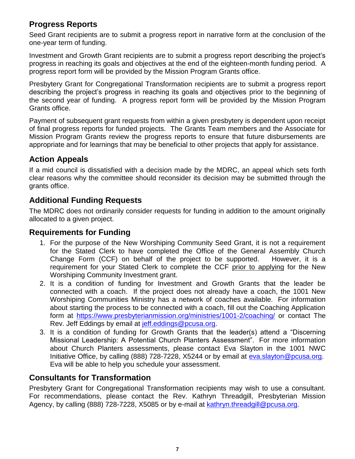## **Progress Reports**

Seed Grant recipients are to submit a progress report in narrative form at the conclusion of the one-year term of funding.

Investment and Growth Grant recipients are to submit a progress report describing the project's progress in reaching its goals and objectives at the end of the eighteen-month funding period. A progress report form will be provided by the Mission Program Grants office.

Presbytery Grant for Congregational Transformation recipients are to submit a progress report describing the project's progress in reaching its goals and objectives prior to the beginning of the second year of funding. A progress report form will be provided by the Mission Program Grants office.

Payment of subsequent grant requests from within a given presbytery is dependent upon receipt of final progress reports for funded projects. The Grants Team members and the Associate for Mission Program Grants review the progress reports to ensure that future disbursements are appropriate and for learnings that may be beneficial to other projects that apply for assistance.

## **Action Appeals**

If a mid council is dissatisfied with a decision made by the MDRC, an appeal which sets forth clear reasons why the committee should reconsider its decision may be submitted through the grants office.

## **Additional Funding Requests**

The MDRC does not ordinarily consider requests for funding in addition to the amount originally allocated to a given project.

### **Requirements for Funding**

- 1. For the purpose of the New Worshiping Community Seed Grant, it is not a requirement for the Stated Clerk to have completed the Office of the General Assembly Church Change Form (CCF) on behalf of the project to be supported. However, it is a requirement for your Stated Clerk to complete the CCF prior to applying for the New Worshiping Community Investment grant.
- 2. It is a condition of funding for Investment and Growth Grants that the leader be connected with a coach. If the project does not already have a coach, the 1001 New Worshiping Communities Ministry has a network of coaches available. For information about starting the process to be connected with a coach, fill out the Coaching Application form at <https://www.presbyterianmission.org/ministries/1001-2/coaching/> or contact The Rev. Jeff Eddings by email at [jeff.eddings@pcusa.org.](mailto:jeff.eddings@pcusa.org)
- 3. It is a condition of funding for Growth Grants that the leader(s) attend a "Discerning Missional Leadership: A Potential Church Planters Assessment". For more information about Church Planters assessments, please contact Eva Slayton in the 1001 NWC Initiative Office, by calling (888) 728-7228, X5244 or by email at [eva.slayton@pcusa.org.](mailto:eva.slayton@pcusa.org) Eva will be able to help you schedule your assessment.

## **Consultants for Transformation**

Presbytery Grant for Congregational Transformation recipients may wish to use a consultant. For recommendations, please contact the Rev. Kathryn Threadgill, Presbyterian Mission Agency, by calling (888) 728-7228, X5085 or by e-mail at [kathryn.threadgill@pcusa.org.](mailto:kathryn.threadgill@pcusa.org)